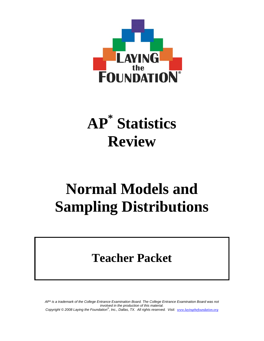

# **AP\* Statistics Review**

## **Normal Models and Sampling Distributions**

## **Teacher Packet**

*AP\* is a trademark of the College Entrance Examination Board. The College Entrance Examination Board was not involved in the production of this material. Copyright © 2008 Laying the Foundation® , Inc., Dallas, TX. All rights reserved. Visit: www.layingthefoundation.org*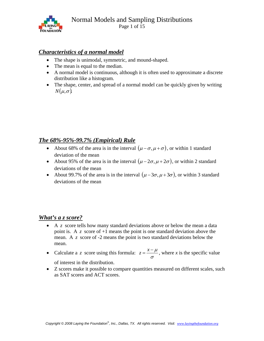

#### *Characteristics of a normal model*

- The shape is unimodal, symmetric, and mound-shaped.
- The mean is equal to the median.
- A normal model is continuous, although it is often used to approximate a discrete distribution like a histogram.
- The shape, center, and spread of a normal model can be quickly given by writing  $N(\mu, \sigma)$ .

#### *The 68%-95%-99.7% (Empirical) Rule*

- About 68% of the area is in the interval  $(\mu \sigma, \mu + \sigma)$ , or within 1 standard deviation of the mean
- About 95% of the area is in the interval  $(\mu 2\sigma, \mu + 2\sigma)$ , or within 2 standard deviations of the mean
- About 99.7% of the area is in the interval  $(\mu 3\sigma, \mu + 3\sigma)$ , or within 3 standard deviations of the mean

#### *What's a z score?*

- A *z* score tells how many standard deviations above or below the mean a data point is. A *z* score of +1 means the point is one standard deviation above the mean. A *z* score of -2 means the point is two standard deviations below the mean.
- Calculate a *z* score using this formula:  $z = \frac{x \mu}{\sigma}$ , where *x* is the specific value

of interest in the distribution.

• Z scores make it possible to compare quantities measured on different scales, such as SAT scores and ACT scores.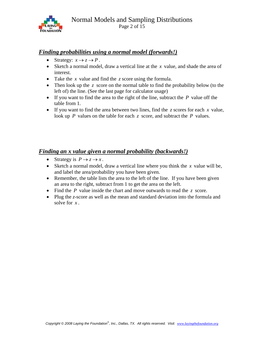

#### *Finding probabilities using a normal model (forwards!)*

- Strategy:  $x \rightarrow z \rightarrow P$ .
- Sketch a normal model, draw a vertical line at the *x* value, and shade the area of interest.
- Take the *x* value and find the *z* score using the formula.
- Then look up the *z* score on the normal table to find the probability below (to the left of) the line. (See the last page for calculator usage)
- If you want to find the area to the right of the line, subtract the *P* value off the table from 1.
- If you want to find the area between two lines, find the  $\zeta$  scores for each  $\chi$  value, look up *P* values on the table for each *z* score, and subtract the *P* values.

#### *Finding an x value given a normal probability (backwards!)*

- Strategy is  $P \to z \to x$ .
- Sketch a normal model, draw a vertical line where you think the *x* value will be, and label the area/probability you have been given.
- Remember, the table lists the area to the left of the line. If you have been given an area to the right, subtract from 1 to get the area on the left.
- Find the *P* value inside the chart and move outwards to read the *z* score.
- Plug the *z*-score as well as the mean and standard deviation into the formula and solve for *x* .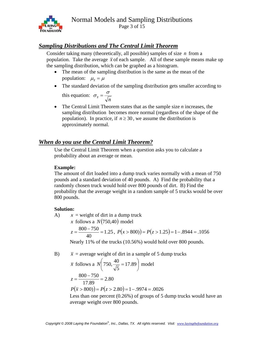

Page 3 of 15

#### *Sampling Distributions and The Central Limit Theorem*

Consider taking many (theoretically, all possible) samples of size *n* from a population. Take the average  $\bar{x}$  of each sample. All of these sample means make up the sampling distribution, which can be graphed as a histogram.

- The mean of the sampling distribution is the same as the mean of the population:  $\mu_{\overline{x}} = \mu$
- The standard deviation of the sampling distribution gets smaller according to this equation:  $\sigma_{\overline{x}} = \frac{0}{\sqrt{n}}$  $\sigma_{\overline{x}} = \frac{\sigma}{\sqrt{n}}$
- The Central Limit Theorem states that as the sample size *n* increases, the sampling distribution becomes more normal (regardless of the shape of the population). In practice, if  $n \ge 30$ , we assume the distribution is approximately normal.

#### *When do you use the Central Limit Theorem?*

Use the Central Limit Theorem when a question asks you to calculate a probability about an average or mean.

#### **Example:**

The amount of dirt loaded into a dump truck varies normally with a mean of 750 pounds and a standard deviation of 40 pounds. A) Find the probability that a randomly chosen truck would hold over 800 pounds of dirt. B) Find the probability that the average weight in a random sample of 5 trucks would be over 800 pounds.

#### **Solution:**

A)  $x = weight of dirt in a dump truck$ *x* follows a  $N(750,40)$  model

$$
z = \frac{800 - 750}{40} = 1.25, \ P(x > 800) = P(z > 1.25) = 1 - .8944 = .1056
$$

Nearly 11% of the trucks (10.56%) would hold over 800 pounds.

B)  $\bar{x}$  = average weight of dirt in a sample of 5 dump trucks

$$
\overline{x}
$$
 follows a  $N\left(750, \frac{40}{\sqrt{5}} = 17.89\right)$  model  

$$
z = \frac{800 - 750}{17.89} = 2.80
$$

$$
P(\overline{x} > 800) = P(z > 2.80) = 1 - .9974 = .0026
$$

 Less than one percent (0.26%) of groups of 5 dump trucks would have an average weight over 800 pounds.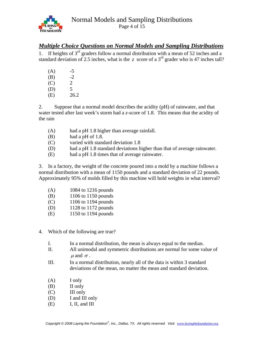

Page 4 of 15

#### *Multiple Choice Questions on Normal Models and Sampling Distributions*

1. If heights of  $3<sup>rd</sup>$  graders follow a normal distribution with a mean of 52 inches and a standard deviation of 2.5 inches, what is the *z* score of a  $3<sup>rd</sup>$  grader who is 47 inches tall?

| (A) | -5                    |
|-----|-----------------------|
| (B) | $-2$                  |
| (C) | $\mathcal{D}_{\cdot}$ |
| (D) | 5                     |
| (E) | 26.2                  |

2. Suppose that a normal model describes the acidity (pH) of rainwater, and that water tested after last week's storm had a *z*-score of 1.8. This means that the acidity of the rain

- (A) had a pH 1.8 higher than average rainfall.
- $(B)$  had a pH of 1.8.
- (C) varied with standard deviation 1.8
- (D) had a pH 1.8 standard deviations higher than that of average rainwater.
- (E) had a pH 1.8 times that of average rainwater.

3. In a factory, the weight of the concrete poured into a mold by a machine follows a normal distribution with a mean of 1150 pounds and a standard deviation of 22 pounds. Approximately 95% of molds filled by this machine will hold weights in what interval?

| (A) | 1084 to 1216 pounds |
|-----|---------------------|
|-----|---------------------|

- (B) 1106 to 1150 pounds
- (C) 1106 to 1194 pounds
- (D) 1128 to 1172 pounds
- (E) 1150 to 1194 pounds
- 4. Which of the following are true?
	- I. In a normal distribution, the mean is always equal to the median.
	- II. All unimodal and symmetric distributions are normal for some value of  $\mu$  and  $\sigma$ .
	- III. In a normal distribution, nearly all of the data is within 3 standard deviations of the mean, no matter the mean and standard deviation.
	- (A) I only
	- (B) II only
	- (C) III only
	- (D) I and III only
	- (E) I, II, and III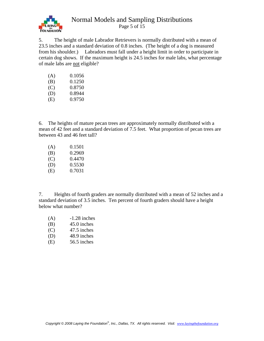

Page 5 of  $\overline{15}$ 

5. The height of male Labrador Retrievers is normally distributed with a mean of 23.5 inches and a standard deviation of 0.8 inches. (The height of a dog is measured from his shoulder.) Labradors must fall under a height limit in order to participate in certain dog shows. If the maximum height is 24.5 inches for male labs, what percentage of male labs are not eligible?

| (A) | 0.1056 |
|-----|--------|
| (B) | 0.1250 |
| (C) | 0.8750 |
| (D) | 0.8944 |
| (E) | 0.9750 |
|     |        |

6. The heights of mature pecan trees are approximately normally distributed with a mean of 42 feet and a standard deviation of 7.5 feet. What proportion of pecan trees are between 43 and 46 feet tall?

| (A) | 0.1501 |
|-----|--------|
| (B) | 0.2969 |
| (C) | 0.4470 |
| (D) | 0.5530 |
| (E) | 0.7031 |

7. Heights of fourth graders are normally distributed with a mean of 52 inches and a standard deviation of 3.5 inches. Ten percent of fourth graders should have a height below what number?

- (A) -1.28 inches
- (B) 45.0 inches
- (C) 47.5 inches
- (D) 48.9 inches
- (E) 56.5 inches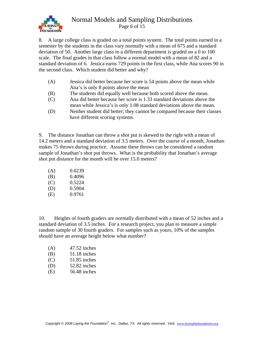

Page 6 of 15

8. A large college class is graded on a total points system. The total points earned in a semester by the students in the class vary normally with a mean of 675 and a standard deviation of 50. Another large class in a different department is graded on a 0 to 100 scale. The final grades in that class follow a normal model with a mean of 82 and a standard deviation of 6. Jessica earns 729 points in the first class, while Ana scores 90 in the second class. Which student did better and why?

- (A) Jessica did better because her score is 54 points above the mean while Ana's is only 8 points above the mean
- (B) The students did equally well because both scored above the mean.
- (C) Ana did better because her score is 1.33 standard deviations above the mean while Jessica's is only 1.08 standard deviations above the mean.
- (D) Neither student did better; they cannot be compared because their classes have different scoring systems.

9. The distance Jonathan can throw a shot put is skewed to the right with a mean of 14.2 meters and a standard deviation of 3.5 meters. Over the course of a month, Jonathan makes 75 throws during practice. Assume these throws can be considered a random sample of Jonathan's shot put throws. What is the probability that Jonathan's average shot put distance for the month will be over 15.0 meters?

| (A) | 0.0239 |
|-----|--------|
| (B) | 0.4096 |
| (C) | 0.5224 |
| (D) | 0.5904 |
| (E) | 0.9761 |

10. Heights of fourth graders are normally distributed with a mean of 52 inches and a standard deviation of 3.5 inches. For a research project, you plan to measure a simple random sample of 30 fourth graders. For samples such as yours, 10% of the samples should have an average height below what number?

| (A)     | $47.52$ inches  |
|---------|-----------------|
| (B)     | $51.18$ inches  |
| (C)     | $51.85$ inches  |
| (D)     | 52.82 inches    |
| 7 L Z Z | $27.40 \div 1.$ |

(E) 56.48 inches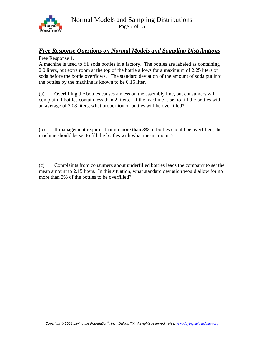

#### *Free Response Questions on Normal Models and Sampling Distributions*

Free Response 1.

A machine is used to fill soda bottles in a factory. The bottles are labeled as containing 2.0 liters, but extra room at the top of the bottle allows for a maximum of 2.25 liters of soda before the bottle overflows. The standard deviation of the amount of soda put into the bottles by the machine is known to be 0.15 liter.

(a) Overfilling the bottles causes a mess on the assembly line, but consumers will complain if bottles contain less than 2 liters. If the machine is set to fill the bottles with an average of 2.08 liters, what proportion of bottles will be overfilled?

(b) If management requires that no more than 3% of bottles should be overfilled, the machine should be set to fill the bottles with what mean amount?

(c) Complaints from consumers about underfilled bottles leads the company to set the mean amount to 2.15 liters. In this situation, what standard deviation would allow for no more than 3% of the bottles to be overfilled?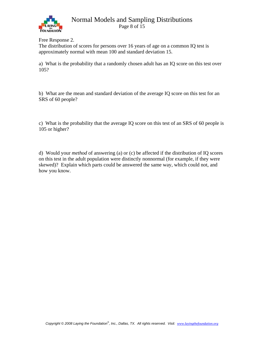

Page 8 of  $\overline{15}$ 

Free Response 2.

The distribution of scores for persons over 16 years of age on a common IQ test is approximately normal with mean 100 and standard deviation 15.

a) What is the probability that a randomly chosen adult has an IQ score on this test over 105?

b) What are the mean and standard deviation of the average IQ score on this test for an SRS of 60 people?

c) What is the probability that the average IQ score on this test of an SRS of 60 people is 105 or higher?

d) Would your *method* of answering (a) or (c) be affected if the distribution of IQ scores on this test in the adult population were distinctly nonnormal (for example, if they were skewed)? Explain which parts could be answered the same way, which could not, and how you know.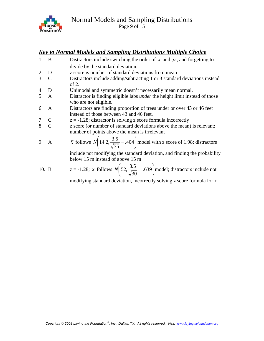

#### *Key to Normal Models and Sampling Distributions Multiple Choice*

- 1. B Distractors include switching the order of  $x$  and  $\mu$ , and forgetting to divide by the standard deviation.
- 2. D z score is number of standard deviations from mean
- 3. C Distractors include adding/subtracting 1 or 3 standard deviations instead of 2.
- 4. D Unimodal and symmetric doesn't necessarily mean normal.
- 5. A Distractor is finding eligible labs *under* the height limit instead of those who are not eligible.
- 6. A Distractors are finding proportion of trees under or over 43 or 46 feet instead of those between 43 and 46 feet.
- 7. C  $z = -1.28$ ; distractor is solving z score formula incorrectly
- 8. C z score (or number of standard deviations above the mean) is relevant; number of points above the mean is irrelevant

9. A 
$$
\bar{x}
$$
 follows  $N\left(14.2, \frac{3.5}{\sqrt{75}}\right) = .404$  model with z score of 1.98; distractors

 include not modifying the standard deviation, and finding the probability below 15 m instead of above 15 m

10. B  $z = -1.28$ ;  $\bar{x}$  follows  $N | 52, \frac{3.3}{\sqrt{2}} = .639 |$ ⎠  $\left(52, \frac{3.5}{\sqrt{2}}\right) = .639$ ⎝  $\left(52, \frac{3.5}{\sqrt{1.3}}\right) = .639$ 30  $N\left(52, \frac{3.5}{\sqrt{N}}\right) = .639$  model; distractors include not

modifying standard deviation, incorrectly solving z score formula for x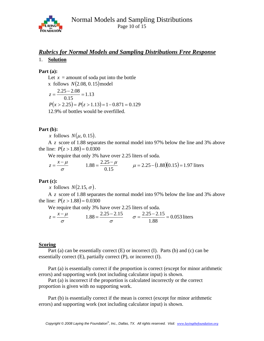

#### *Rubrics for Normal Models and Sampling Distributions Free Response*

#### 1. **Solution**

#### **Part (a):**

Let  $x =$  amount of soda put into the bottle x follows  $N(2.08, 0.15)$  model 1.13 0.15  $z = \frac{2.25 - 2.08}{0.15} =$  $P(x > 2.25) = P(z > 1.13) = 1 - 0.871 = 0.129$ 12.9% of bottles would be overfilled.

#### **Part (b):**

*x* follows  $N(\mu, 0.15)$ .

 A *z* score of 1.88 separates the normal model into 97% below the line and 3% above the line:  $P(z > 1.88) = 0.0300$ 

We require that only 3% have over 2.25 liters of soda.

$$
z = \frac{x - \mu}{\sigma}
$$
 1.88 =  $\frac{2.25 - \mu}{0.15}$   $\mu = 2.25 - (1.88)(0.15) = 1.97$  liters

#### **Part (c):**

*x* follows  $N(2.15, \sigma)$ .

 A *z* score of 1.88 separates the normal model into 97% below the line and 3% above the line:  $P(z > 1.88) = 0.0300$ 

We require that only 3% have over 2.25 liters of soda.

$$
z = \frac{x - \mu}{\sigma} \qquad 1.88 = \frac{2.25 - 2.15}{\sigma} \qquad \sigma = \frac{2.25 - 2.15}{1.88} = 0.053 \text{ liters}
$$

#### **Scoring**

Part (a) can be essentially correct  $(E)$  or incorrect  $(I)$ . Parts  $(b)$  and  $(c)$  can be essentially correct  $(E)$ , partially correct  $(P)$ , or incorrect  $(I)$ .

 Part (a) is essentially correct if the proportion is correct (except for minor arithmetic errors) and supporting work (not including calculator input) is shown.

 Part (a) is incorrect if the proportion is calculated incorrectly or the correct proportion is given with no supporting work.

 Part (b) is essentially correct if the mean is correct (except for minor arithmetic errors) and supporting work (not including calculator input) is shown.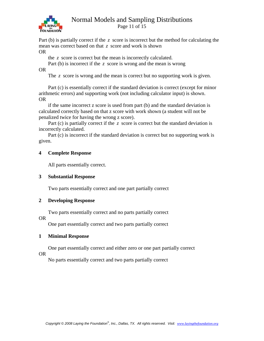

Page 11 of 15

Part (b) is partially correct if the *z* score is incorrect but the method for calculating the mean was correct based on that *z* score and work is shown OR

the *z* score is correct but the mean is incorrectly calculated.

 Part (b) is incorrect if the *z* score is wrong and the mean is wrong OR

The *z* score is wrong and the mean is correct but no supporting work is given.

 Part (c) is essentially correct if the standard deviation is correct (except for minor arithmetic errors) and supporting work (not including calculator input) is shown. OR

 if the same incorrect z score is used from part (b) and the standard deviation is calculated correctly based on that z score with work shown (a student will not be penalized twice for having the wrong z score).

Part (c) is partially correct if the *z* score is correct but the standard deviation is incorrectly calculated.

 Part (c) is incorrect if the standard deviation is correct but no supporting work is given.

#### **4 Complete Response**

All parts essentially correct.

#### **3 Substantial Response**

Two parts essentially correct and one part partially correct

#### **2 Developing Response**

Two parts essentially correct and no parts partially correct

#### OR

One part essentially correct and two parts partially correct

#### **1 Minimal Response**

One part essentially correct and either zero or one part partially correct

#### OR

No parts essentially correct and two parts partially correct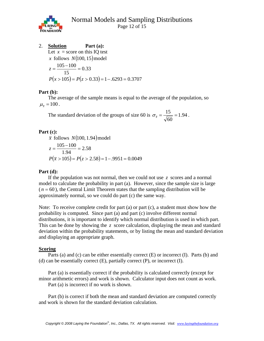

2. **Solution Part (a):**  Let  $x =$  score on this IQ test *x* follows  $N(100, 15)$  model 0.33 15  $z = \frac{105 - 100}{15} =$  $P(x > 105) = P(z > 0.33) = 1 - .6293 = 0.3707$ 

#### **Part (b):**

 The average of the sample means is equal to the average of the population, so  $\mu_{\bar{x}} = 100$ .

The standard deviation of the groups of size 60 is  $\sigma_{\overline{x}} = \frac{1.9}{\sqrt{2}} = 1.94$ 60  $\sigma_{\bar{x}} = \frac{15}{\sqrt{60}} = 1.94$ .

#### **Part (c):**

 $\bar{x}$  follows  $N(100, 1.94)$  model 2.58 1.94  $z = \frac{105 - 100}{100} =$  $P(\bar{x} > 105) = P(z > 2.58) = 1 - .9951 = 0.0049$ 

#### **Part (d):**

 If the population was not normal, then we could not use *z* scores and a normal model to calculate the probability in part (a). However, since the sample size is large  $(n = 60)$ , the Central Limit Theorem states that the sampling distribution will be approximately normal, so we could do part (c) the same way.

Note: To receive complete credit for part (a) or part (c), a student must show how the probability is computed. Since part (a) and part (c) involve different normal distributions, it is important to identify which normal distribution is used in which part. This can be done by showing the *z* score calculation, displaying the mean and standard deviation within the probability statements, or by listing the mean and standard deviation and displaying an appropriate graph.

#### **Scoring**

 Parts (a) and (c) can be either essentially correct (E) or incorrect (I). Parts (b) and (d) can be essentially correct  $(E)$ , partially correct  $(P)$ , or incorrect  $(I)$ .

 Part (a) is essentially correct if the probability is calculated correctly (except for minor arithmetic errors) and work is shown. Calculator input does not count as work. Part (a) is incorrect if no work is shown.

 Part (b) is correct if both the mean and standard deviation are computed correctly and work is shown for the standard deviation calculation.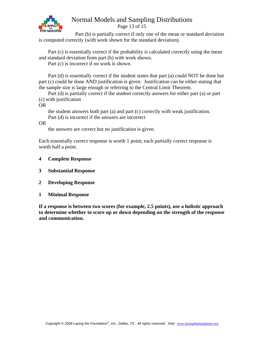

Page 13 of 15

 Part (b) is partially correct if only one of the mean or standard deviation is computed correctly (with work shown for the standard deviation).

 Part (c) is essentially correct if the probability is calculated correctly using the mean and standard deviation from part (b) with work shown.

Part (c) is incorrect if no work is shown.

 Part (d) is essentially correct if the student states that part (a) could NOT be done but part (c) could be done AND justification is given. Justification can be either stating that the sample size is large enough or referring to the Central Limit Theorem.

 Part (d) is partially correct if the student correctly answers for either part (a) or part (c) with justification

OR

 the student answers both part (a) and part (c) correctly with weak justification. Part (d) is incorrect if the answers are incorrect

OR

the answers are correct but no justification is given.

Each essentially correct response is worth 1 point; each partially correct response is worth half a point.

- **4 Complete Response**
- **3 Substantial Response**
- **2 Developing Response**
- **1 Minimal Response**

**If a response is between two scores (for example, 2.5 points), use a holistic approach to determine whether to score up or down depending on the strength of the response and communication.**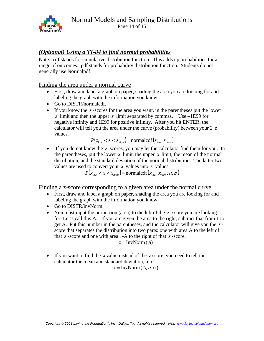

#### *(Optional) Using a TI-84 to find normal probabilities*

Note: cdf stands for cumulative distribution function. This adds up probabilities for a range of outcomes. pdf stands for probability distribution function. Students do not generally use Normalpdf.

#### Finding the area under a normal curve

- First, draw and label a graph on paper, shading the area you are looking for and labeling the graph with the information you know.
- Go to DISTR/normalcdf.
- If you know the  $z$ -scores for the area you want, in the parentheses put the lower *z* limit and then the upper *z* limit separated by commas. Use –1E99 for negative infinity and 1E99 for positive infinity. After you hit ENTER, the calculator will tell you the area under the curve (probability) between your 2 *z* values.

$$
P(z_{low} < z < z_{high}) = \text{normalizedf}(z_{low}, z_{high})
$$

• If you do not know the *z* scores, you may let the calculator find them for you. In the parentheses, put the lower  $x$  limit, the upper  $x$  limit, the mean of the normal distribution, and the standard deviation of the normal distribution. The latter two values are used to convert your *x* values into *z* values.

 $P(x_{low} < x < x_{high})$  = normalcdf( $x_{low}, x_{high}, \mu, \sigma$ )

Finding a z-score corresponding to a given area under the normal curve

- First, draw and label a graph on paper, shading the area you are looking for and labeling the graph with the information you know.
- Go to DISTR/invNorm.
- You must input the proportion (area) to the left of the *z* -score you are looking for. Let's call this A. If you are given the area to the right, subtract that from 1 to get A. Put this number in the parentheses, and the calculator will give you the *z* score that separates the distribution into two parts: one with area A to the left of that  $z$ -score and one with area 1-A to the right of that  $z$ -score.

$$
z = InvNorm(A)
$$

• If you want to find the *x* value instead of the *z* score, you need to tell the calculator the mean and standard deviation, too.

 $x = InvNorm(A, \mu, \sigma)$